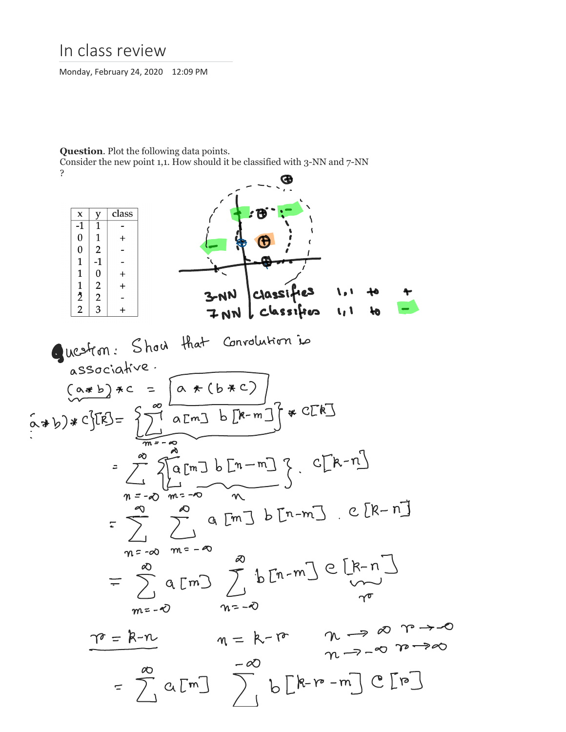## In class review

Monday, February 24, 2020 12:09 PM

## **Question**. Plot the following data points.

Consider the new point 1,1. How should it be classified with 3-NN and 7-NN

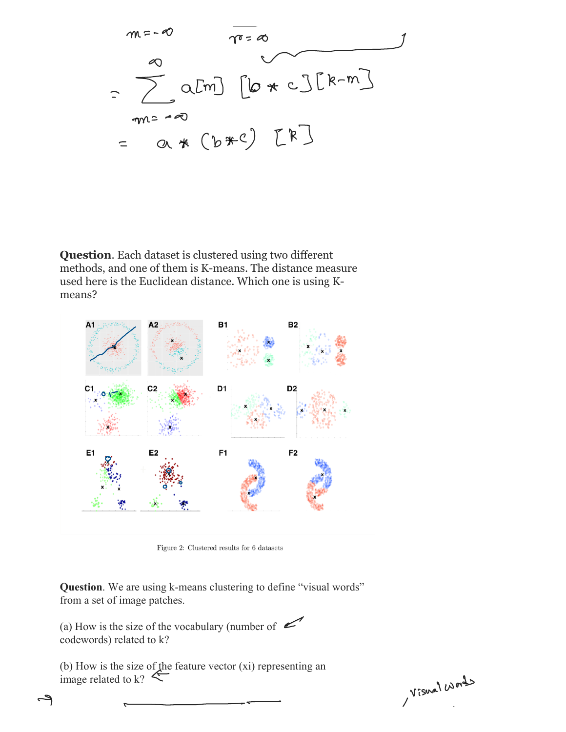$$
m=-0
$$
\n
$$
\overline{m}=\infty
$$
\n
$$
=
$$
\n
$$
m=-0
$$
\n
$$
=
$$
\n
$$
m=-0
$$
\n
$$
=
$$
\n
$$
m=-0
$$
\n
$$
=
$$
\n
$$
m=-0
$$
\n
$$
m=-0
$$
\n
$$
m=-0
$$
\n
$$
m=-0
$$
\n
$$
m=-0
$$
\n
$$
m=-0
$$
\n
$$
m=-0
$$
\n
$$
m=-0
$$
\n
$$
m=-0
$$
\n
$$
m=-0
$$
\n
$$
m=-0
$$
\n
$$
m=-0
$$
\n
$$
m=-0
$$
\n
$$
m=-0
$$
\n
$$
m=-0
$$
\n
$$
m=-0
$$
\n
$$
m=-0
$$
\n
$$
m=-0
$$
\n
$$
m=-0
$$
\n
$$
m=-0
$$
\n
$$
m=-0
$$
\n
$$
m=-0
$$
\n
$$
m=-0
$$
\n
$$
m=-0
$$
\n
$$
m=-0
$$
\n
$$
m=-0
$$
\n
$$
m=-0
$$
\n
$$
m=-0
$$
\n
$$
m=-0
$$
\n
$$
m=-0
$$
\n
$$
m=-0
$$
\n
$$
m=-0
$$
\n
$$
m=-0
$$
\n
$$
m=-0
$$
\n
$$
m=-0
$$
\n
$$
m=-0
$$
\n
$$
m=-0
$$
\n
$$
m=-0
$$
\n
$$
m=-0
$$
\n
$$
m=-0
$$
\n
$$
m=-0
$$
\n
$$
m=-0
$$
\n
$$
m=-0
$$
\n
$$
m=-0
$$
\n
$$
m=-0
$$
\n
$$
m=-0
$$
\n
$$
m=-0
$$
\n
$$
m=-0
$$
\n
$$
m=-0
$$
\n
$$
m=-0
$$
\n<

**Question**. Each dataset is clustered using two different methods, and one of them is K-means. The distance measure used here is the Euclidean distance. Which one is using Kmeans?



Figure 2: Clustered results for  $6$  datasets

**Question**. We are using k-means clustering to define "visual words" from a set of image patches.

(a) How is the size of the vocabulary (number of  $\leq$ codewords) related to k?

(b) How is the size of the feature vector (xi) representing an image related to k?

Visual Works

ے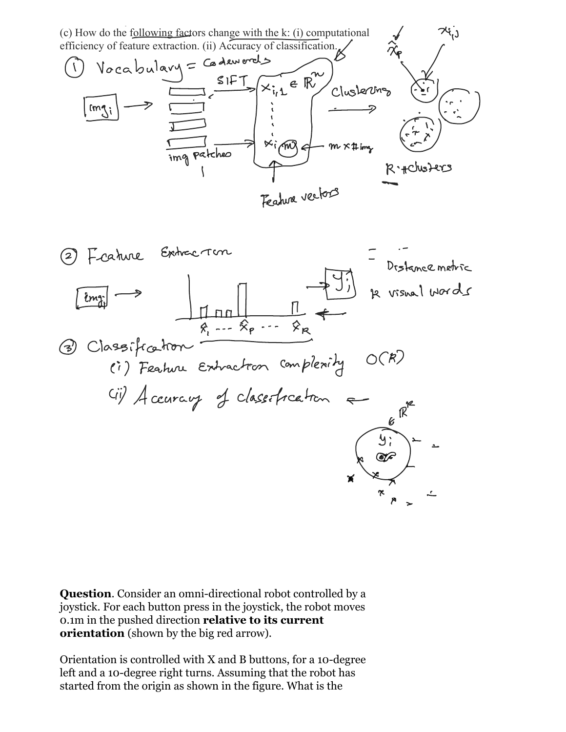

**Question**. Consider an omni-directional robot controlled by a joystick. For each button press in the joystick, the robot moves 0.1m in the pushed direction **relative to its current orientation** (shown by the big red arrow).

Orientation is controlled with X and B buttons, for a 10-degree left and a 10-degree right turns. Assuming that the robot has started from the origin as shown in the figure. What is the